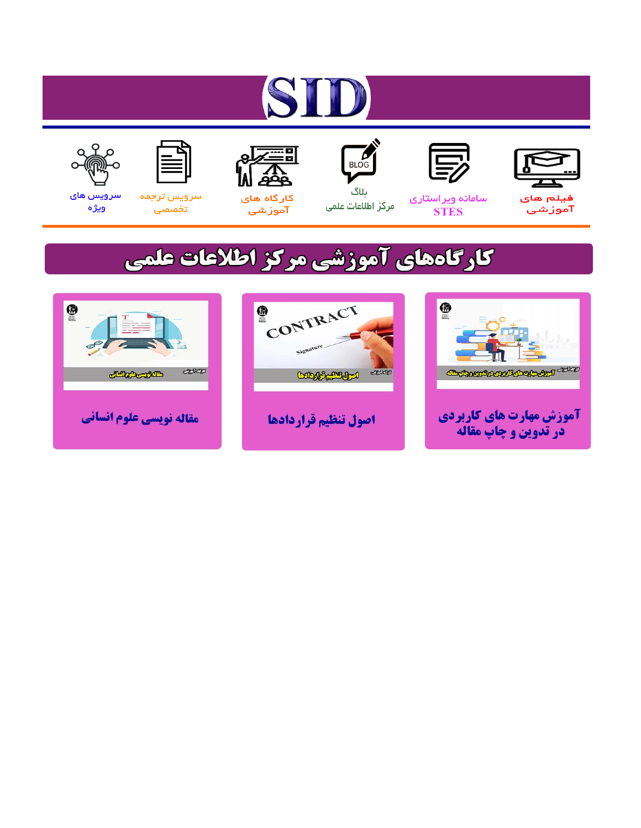# ST











ىلاگ



مرکز اطلاعات علمی

 $\frac{1}{\sqrt{\frac{1}{100}}}$ 

Cologie Legislation

کارگاه های آموزشي

空

ققق

 $\begin{matrix} \textcircled{\footnotesize{A}}\\ \textcircled{\footnotesize{B}} \end{matrix}$ 

سرويس ترجمه تخصصى



سرویس های ويژه

كارگاههای آموزشی مركز اطلاعات علمی

CONTRACT

اصول تنظيم قراردادها



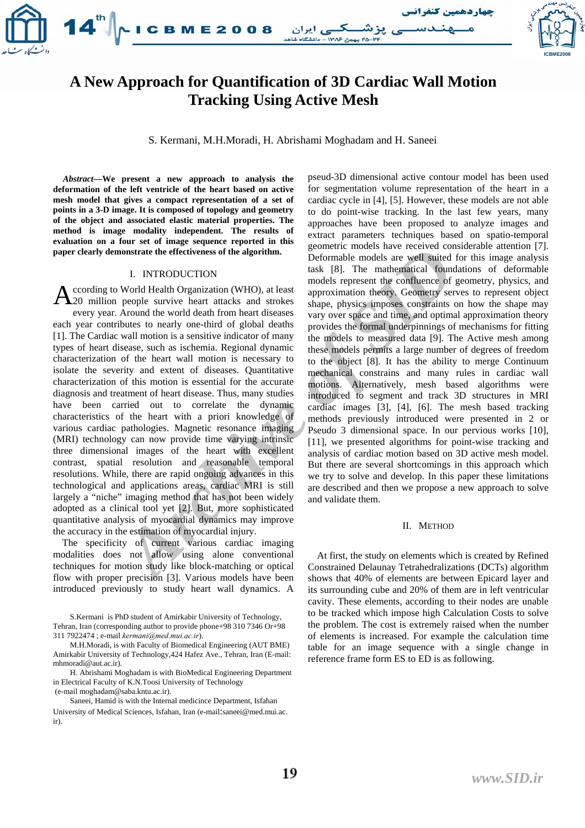

# **A New Approach for Quantification of 3D Cardiac Wall Motion Tracking Using Active Mesh**

S. Kermani, M.H.Moradi, H. Abrishami Moghadam and H. Saneei

*Abstract***—We present a new approach to analysis the deformation of the left ventricle of the heart based on active mesh model that gives a compact representation of a set of points in a 3-D image. It is composed of topology and geometry of the object and associated elastic material properties. The method is image modality independent. The results of evaluation on a four set of image sequence reported in this paper clearly demonstrate the effectiveness of the algorithm.** 

# I. INTRODUCTION

**EXERCT ANTIVE SET ASSEMBLY THE SET AND THE SET AND THE SET AND THE SET AND THE SET AND THE SET AND THE SET AND THE SET AND THE SET AND THE SET AND THE SET AND THE SET AND THE SET AND THE SET AND THE SET AND THE SET AND TH** ccording to World Health Organization (WHO), at least **A** ccording to World Health Organization (WHO), at least 20 million people survive heart attacks and strokes every year. Around the world death from heart diseases each year contributes to nearly one-third of global deaths [1]. The Cardiac wall motion is a sensitive indicator of many types of heart disease, such as ischemia. Regional dynamic characterization of the heart wall motion is necessary to isolate the severity and extent of diseases. Quantitative characterization of this motion is essential for the accurate diagnosis and treatment of heart disease. Thus, many studies have been carried out to correlate the dynamic characteristics of the heart with a priori knowledge of various cardiac pathologies. Magnetic resonance imaging (MRI) technology can now provide time varying intrinsic three dimensional images of the heart with excellent contrast, spatial resolution and reasonable temporal resolutions. While, there are rapid ongoing advances in this technological and applications areas, cardiac MRI is still largely a "niche" imaging method that has not been widely adopted as a clinical tool yet [2]. But, more sophisticated quantitative analysis of myocardial dynamics may improve the accuracy in the estimation of myocardial injury.

The specificity of current various cardiac imaging modalities does not allow using alone conventional techniques for motion study like block-matching or optical flow with proper precision [3]. Various models have been introduced previously to study heart wall dynamics. A pseud-3D dimensional active contour model has been used for segmentation volume representation of the heart in a cardiac cycle in [4], [5]. However, these models are not able to do point-wise tracking. In the last few years, many approaches have been proposed to analyze images and extract parameters techniques based on spatio-temporal geometric models have received considerable attention [7]. Deformable models are well suited for this image analysis task [8]. The mathematical foundations of deformable models represent the confluence of geometry, physics, and approximation theory. Geometry serves to represent object shape, physics imposes constraints on how the shape may vary over space and time, and optimal approximation theory provides the formal underpinnings of mechanisms for fitting the models to measured data [9]. The Active mesh among these models permits a large number of degrees of freedom to the object [8]. It has the ability to merge Continuum mechanical constrains and many rules in cardiac wall motions. Alternatively, mesh based algorithms were introduced to segment and track 3D structures in MRI cardiac images [3], [4], [6]. The mesh based tracking methods previously introduced were presented in 2 or Pseudo 3 dimensional space. In our pervious works [10], [11], we presented algorithms for point-wise tracking and analysis of cardiac motion based on 3D active mesh model. But there are several shortcomings in this approach which we try to solve and develop. In this paper these limitations are described and then we propose a new approach to solve and validate them.

# II. METHOD

At first, the study on elements which is created by Refined Constrained Delaunay Tetrahedralizations (DCTs) algorithm shows that 40% of elements are between Epicard layer and its surrounding cube and 20% of them are in left ventricular cavity. These elements, according to their nodes are unable to be tracked which impose high Calculation Costs to solve the problem. The cost is extremely raised when the number of elements is increased. For example the calculation time table for an image sequence with a single change in reference frame form ES to ED is as following.

S.Kermani is PhD student of Amirkabir University of Technology, Tehran, Iran (corresponding author to provide phone+98 310 7346 Or+98 311 7922474 ; e-mail *kermani@med.mui.ac.ir*).

M.H.Moradi, is with Faculty of Biomedical Engineering (AUT BME) Amirkabir University of Technology,424 Hafez Ave., Tehran, Iran (E-mail: mhmoradi@aut.ac.ir).

H. Abrishami Moghadam is with BioMedical Engineering Department in Electrical Faculty of K.N.Toosi University of Technology (e-mail moghadam@saba.kntu.ac.ir).

Saneei, Hamid is with the Internal medicince Department, Isfahan University of Medical Sciences, Isfahan, Iran (e-mail: saneei@med.mui.ac. ir).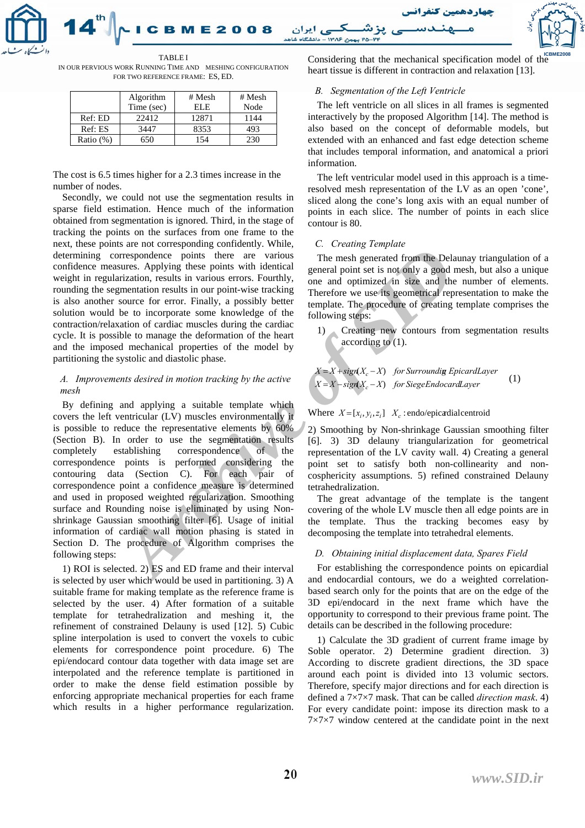

IN OUR PERVIOUS WORK RUNNING TIME AND MESHING CONFIGURATION FOR TWO REFERENCE FRAME : ES, ED.

|              | Algorithm  | # Mesh | # Mesh |
|--------------|------------|--------|--------|
|              | Time (sec) | EL E   | Node   |
| Ref: ED      | 22412      | 12871  | 1144   |
| Ref: ES      | 3447       | 8353   | 493    |
| Ratio $(\%)$ | 650        | 154    |        |

The cost is 6.5 times higher for a 2.3 times increase in the number of nodes.

Secondly, we could not use the segmentation results in sparse field estimation. Hence much of the information obtained from segmentation is ignored. Third, in the stage of tracking the points on the surfaces from one frame to the next, these points are not corresponding confidently. While, determining correspondence points there are various confidence measures. Applying these points with identical weight in regularization, results in various errors. Fourthly, rounding the segmentation results in our point-wise tracking is also another source for error. Finally, a possibly better solution would be to incorporate some knowledge of the contraction/relaxation of cardiac muscles during the cardiac cycle. It is possible to manage the deformation of the heart and the imposed mechanical properties of the model by partitioning the systolic and diastolic phase.

# *A. Improvements desired in motion tracking by the active mesh*

*Archive Sophing the points with identical consideration* in the points of the consideration results in our point-wise tracking one and optimized in size and the summatation results in our point-wise tracking one and optim By defining and applying a suitable template which covers the left ventricular (LV) muscles environmentally it is possible to reduce the representative elements by 60% (Section B). In order to use the segmentation results completely establishing correspondence of the correspondence points is performed considering the contouring data (Section C). For each pair of correspondence point a confidence measure is determined and used in proposed weighted regularization. Smoothing surface and Rounding noise is eliminated by using Nonshrinkage Gaussian smoothing filter [6]. Usage of initial information of cardiac wall motion phasing is stated in Section D. The procedure of Algorithm comprises the following steps:

1) ROI is selected. 2) ES and ED frame and their interval is selected by user which would be used in partitioning. 3) A suitable frame for making template as the reference frame is selected by the user. 4) After formation of a suitable template for tetrahedralization and meshing it, the refinement of constrained Delauny is used [12]. 5) Cubic spline interpolation is used to convert the voxels to cubic elements for correspondence point procedure. 6) The epi/endocard contour data together with data image set are interpolated and the reference template is partitioned in order to make the dense field estimation possible by enforcing appropriate mechanical properties for each frame which results in a higher performance regularization.

TABLE I CONSIDERING Considering that the mechanical specification model of the heart tissue is different in contraction and relaxation [13].

# *B. Segmentation of the Left Ventricle*

The left ventricle on all slices in all frames is segmented interactively by the proposed Algorithm [14]. The method is also based on the concept of deformable models, but extended with an enhanced and fast edge detection scheme that includes temporal information, and anatomical a priori information.

The left ventricular model used in this approach is a timeresolved mesh representation of the LV as an open 'cone', sliced along the cone's long axis with an equal number of points in each slice. The number of points in each slice contour is 80.

# *C. Creating Template*

The mesh generated from the Delaunay triangulation of a general point set is not only a good mesh, but also a unique one and optimized in size and the number of elements. Therefore we use its geometrical representation to make the template. The procedure of creating template comprises the following steps:

1) Creating new contours from segmentation results according to (1).

$$
X = X + sign(X_c - X) \quad \text{for Surroundig EpicardLayer}
$$
\n
$$
X = X - sign(X_c - X) \quad \text{for SiegeEndocardLayer}
$$
\n
$$
(1)
$$

Where  $X = [x_i, y_i, z_i]$   $X_c$ : endo/epicardial centroid

2) Smoothing by Non-shrinkage Gaussian smoothing filter [6]. 3) 3D delauny triangularization for geometrical representation of the LV cavity wall. 4) Creating a general point set to satisfy both non-collinearity and noncosphericity assumptions. 5) refined constrained Delauny tetrahedralization.

The great advantage of the template is the tangent covering of the whole LV muscle then all edge points are in the template. Thus the tracking becomes easy by decomposing the template into tetrahedral elements.

# *D. Obtaining initial displacement data, Spares Field*

For establishing the correspondence points on epicardial and endocardial contours, we do a weighted correlationbased search only for the points that are on the edge of the 3D epi/endocard in the next frame which have the opportunity to correspond to their previous frame point. The details can be described in the following procedure:

1) Calculate the 3D gradient of current frame image by Soble operator. 2) Determine gradient direction. 3) According to discrete gradient directions, the 3D space around each point is divided into 13 volumic sectors. Therefore, specify major directions and for each direction is defined a 7×7×7 mask. That can be called *direction mask*. 4) For every candidate point: impose its direction mask to a  $7\times7\times7$  window centered at the candidate point in the next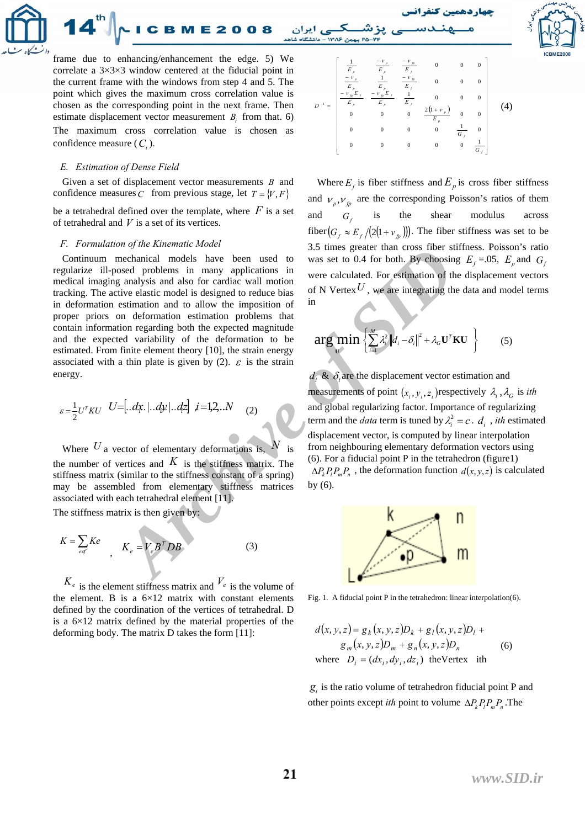

frame due to enhancing/enhancement the edge. 5) We correlate a 3×3×3 window centered at the fiducial point in the current frame with the windows from step 4 and 5. The point which gives the maximum cross correlation value is chosen as the corresponding point in the next frame. Then estimate displacement vector measurement  $B_i$  from that. 6) The maximum cross correlation value is chosen as confidence measure  $(C_i)$ .

**CBME2008** 

#### *E. Estimation of Dense Field*

Given a set of displacement vector measurements *B* and confidence measures C from previous stage, let  $T = \{V, F\}$ 

be a tetrahedral defined over the template, where  $F$  is a set of tetrahedral and *V* is a set of its vertices.

#### *F. Formulation of the Kinematic Model*

*Archiman solution*<br> *Archive since the state of the signals and solution* was set to 0.4 for both. By choosin<br>
bechanical models have been used to was set to 0.4 for both. By choosin<br>
specifies and also for cardiac wall Continuum mechanical models have been used to regularize ill-posed problems in many applications in medical imaging analysis and also for cardiac wall motion tracking. The active elastic model is designed to reduce bias in deformation estimation and to allow the imposition of proper priors on deformation estimation problems that contain information regarding both the expected magnitude and the expected variability of the deformation to be estimated. From finite element theory [10], the strain energy associated with a thin plate is given by (2).  $\varepsilon$  is the strain energy.

$$
\varepsilon = \frac{1}{2} U^{T} K U \quad U = [. . d\mathbf{x}. \quad . d\mathbf{y}. \quad . d\mathbf{z} \quad j = 1, 2, \quad N \quad (2)
$$

Where  $U$  a vector of elementary deformations is,  $i$  s the number of vertices and  $K$  is the stiffness matrix. The stiffness matrix (similar to the stiffness constant of a spring) may be assembled from elementary stiffness matrices associated with each tetrahedral element [11].

The stiffness matrix is then given by:

$$
K = \sum_{eq} K e \qquad K_e = V_e B^T D B \tag{3}
$$

 $K_e$  is the element stiffness matrix and  $V_e$  is the volume of the element. B is a  $6\times12$  matrix with constant elements defined by the coordination of the vertices of tetrahedral. D is a  $6\times12$  matrix defined by the material properties of the deforming body. The matrix D takes the form [11]:



Where  $E_f$  is fiber stiffness and  $E_p$  is cross fiber stiffness and  $v_p$ ,  $v_p$  are the corresponding Poisson's ratios of them and  $G_f$  is the shear modulus across fiber  $(G_f \approx E_f/(2(1+v_{fp})))$ . The fiber stiffness was set to be 3.5 times greater than cross fiber stiffness. Poisson's ratio was set to 0.4 for both. By choosing  $E_f = .05$ ,  $E_p$  and  $G_f$ were calculated. For estimation of the displacement vectors of N Vertex  $U$ , we are integrating the data and model terms in

$$
\arg\min_{\mathbf{U}} \left\{ \sum_{i=1}^{M} \lambda_i^2 \| d_i - \delta_i \|^2 + \lambda_G \mathbf{U}^T \mathbf{K} \mathbf{U} \right\} \tag{5}
$$

 $\hat{d}_i \& \delta_i$  are the displacement vector estimation and measurements of point  $(x_i, y_i, z_i)$  respectively  $\lambda_i$ ,  $\lambda_G$  is *ith* and global regularizing factor. Importance of regularizing term and the *data* term is tuned by  $\lambda_i^2 = c \cdot d_i$ , *ith* estimated displacement vector, is computed by linear interpolation from neighbouring elementary deformation vectors using (6). For a fiducial point P in the tetrahedron (figure1)

 $\Delta P_k P_l P_m P_n$ , the deformation function  $d(x, y, z)$  is calculated by (6).



Fig. 1. A fiducial point P in the tetrahedron: linear interpolation(6).

$$
d(x, y, z) = g_k(x, y, z)D_k + g_l(x, y, z)D_l + g_m(x, y, z)D_m + g_n(x, y, z)D_n
$$
  
where  $D_i = (dx_i, dy_i, dz_i)$  the Vertex *i*th

*gi* is the ratio volume of tetrahedron fiducial point P and other points except *ith* point to volume  $\Delta P_k P_l P_m P_n$ . The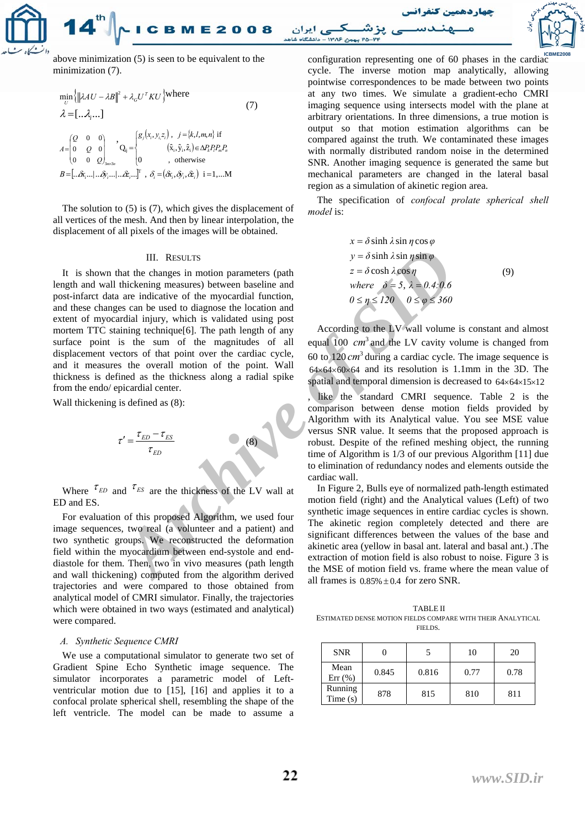

above minimization  $(5)$  is seen to be equivalent to the configuration representing one of 60 phases in the cardiac minimization (7).

$$
\min_{U} \left\{ \left\| \lambda A U - \lambda B \right\|^2 + \lambda_G U^T K U \right\} \text{where}
$$
\n
$$
\lambda = [\dots \lambda_i \dots]
$$
\n
$$
A = \begin{bmatrix} Q & 0 & 0 \\ 0 & Q & 0 \\ 0 & 0 & Q \end{bmatrix}, \quad Q_{ij} = \begin{cases} g_j(x_i, y_i, z_i), & j = \{k, l, m, n\} \text{ if } \\ (\hat{x}_i, \hat{y}_i, \hat{z}_i) \in \Delta P_k P_l P_m P_n \\ 0 & \text{, otherwise} \end{cases}
$$
\n
$$
B = [\dots \hat{\alpha}_i \dots | \dots \hat{\beta}_i \dots | \dots \hat{\alpha}_i \dots ]^{\text{T}}, \quad \delta_i = (\hat{\alpha}_i, \hat{\alpha}_i, \hat{\alpha}_i, \hat{\alpha}_i) \quad i = 1, \dots M
$$
\n(7)

The solution to (5) is (7), which gives the displacement of all vertices of the mesh. And then by linear interpolation, the displacement of all pixels of the images will be obtained.

#### III. RESULTS

It is shown that the changes in motion parameters (path length and wall thickening measures) between baseline and post-infarct data are indicative of the myocardial function, and these changes can be used to diagnose the location and extent of myocardial injury, which is validated using post mortem TTC staining technique [6]. The path length of any surface point is the sum of the magnitudes of all displacement vectors of that point over the cardiac cycle, and it measures the overall motion of the point. Wall thickness is defined as the thickness along a radial spike from the endo/ epicardial center.

Wall thickening is defined as  $(8)$ :

$$
\tau' = \frac{\tau_{ED} - \tau_{ES}}{\tau_{ED}}
$$
\n(8)

Where  $\tau_{ED}$  and  $\tau_{ES}$  are the thickness of the LV wall at ED and ES.

For evaluation of this proposed Algorithm, we used four image sequences, two real (a volunteer and a patient) and two synthetic groups. We reconstructed the deformation field within the myocardium between end-systole and enddiastole for them. Then, two in vivo measures (path length and wall thickening) computed from the algorithm derived trajectories and were compared to those obtained from analytical model of CMRI simulator. Finally, the trajectories which were obtained in two ways (estimated and analytical) were compared.

# *A. Synthetic Sequence CMRI*

We use a computational simulator to generate two set of Gradient Spine Echo Synthetic image sequence. The simulator incorporates a parametric model of Leftventricular motion due to [15], [16] and applies it to a confocal prolate spherical shell, resembling the shape of the left ventricle. The model can be made to assume a cycle. The inverse motion map analytically, allowing pointwise correspondences to be made between two points at any two times. We simulate a gradient-echo CMRI imaging sequence using intersects model with the plane at arbitrary orientations. In three dimensions, a true motion is output so that motion estimation algorithms can be compared against the truth *.* We contaminated these images with normally distributed random noise in the determined SNR. Another imaging sequence is generated the same but mechanical parameters are changed in the lateral basal region as a simulation of akinetic region area.

The specification of *confocal prolate spherical shell model* is:

$$
x = \delta \sinh \lambda \sin \eta \cos \varphi
$$
  
\n
$$
y = \delta \sinh \lambda \sin \eta \sin \varphi
$$
  
\n
$$
z = \delta \cosh \lambda \cos \eta
$$
  
\nwhere  $\delta = 5$ ,  $\lambda = 0.4:0.6$   
\n $0 \le \eta \le 120$   $0 \le \varphi \le 360$  (9)

III. RESULTS<br> *Archive Sin psin p*<br>
that the changes in motion parameters (path<br>
the changes in motion parameters (path<br>
are indicative of the myocardial function,<br>
are indicative of the myocardial function,<br>
are indicati According to the LV wall volume is constant and almost equal 100  $cm^3$  and the LV cavity volume is changed from 60 to  $120 \, \text{cm}^3$  during a cardiac cycle. The image sequence is  $64 \times 64 \times 60 \times 64$  and its resolution is 1.1mm in the 3D. The spatial and temporal dimension is decreased to 64×64×15×12 like the standard CMRI sequence. Table 2 is the comparison between dense motion fields provided by Algorithm with its Analytical value. You see MSE value versus SNR value. It seems that the proposed approach is robust. Despite of the refined meshing object, the running time of Algorithm is 1/3 of our previous Algorithm [11] due to elimination of redundancy nodes and elements outside the cardiac wall.

In Figure 2, Bulls eye of normalized path-length estimated motion field (right) and the Analytical values (Left) of two synthetic image sequences in entire cardiac cycles is shown. The akinetic region completely detected and there are significant differences between the values of the base and akinetic area (yellow in basal ant. lateral and basal ant.) .The extraction of motion field is also robust to noise. Figure 3 is the MSE of motion field vs. frame where the mean value of all frames is  $0.85\% \pm 0.4$  for zero SNR.

TABLE II ESTIMATED DENSE MOTION FIELDS COMPARE WITH THEIR ANALYTICAL FIELDS .

| <b>SNR</b>         |       |       | 10   | 20   |
|--------------------|-------|-------|------|------|
| Mean<br>$Err$ (%)  | 0.845 | 0.816 | 0.77 | 0.78 |
| Running<br>Time(s) | 878   | 815   | 810  | 811  |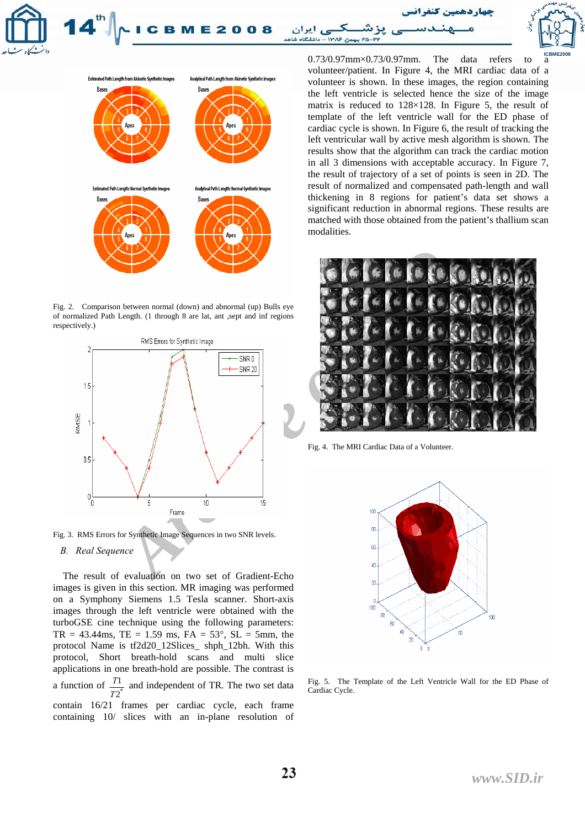**CBME2008** بن ۱۳۸۶ – دلنشگاه شاهد



Fig. 2. Comparison between normal (down) and abnormal (up) Bulls eye of normalized Path Length. (1 through 8 are lat, ant ,sept and inf regions respectively.)



Fig. 3. RMS Errors for Synthetic Image Sequences in two SNR levels.

# *B. Real Sequence*

 The result of evaluation on two set of Gradient-Echo images is given in this section. MR imaging was performed on a Symphony Siemens 1.5 Tesla scanner. Short-axis images through the left ventricle were obtained with the turboGSE cine technique using the following parameters:  $TR = 43.44 \text{ms}, TE = 1.59 \text{ ms}, FA = 53^{\circ}, SL = 5 \text{mm}, the$ protocol Name is tf2d20\_12Slices\_ shph\_12bh. With this protocol, Short breath-hold scans and multi slice applications in one breath-hold are possible. The contrast is a function of  $\frac{T1}{T2^*}$  and independent of TR. The two set data contain 16/21 frames per cardiac cycle, each frame containing 10/ slices with an in-plane resolution of

 $0.73/0.97$ mm× $0.73/0.97$ mm. The data refers to volunteer/patient. In Figure 4, the MRI cardiac data of a volunteer is shown. In these images, the region containing the left ventricle is selected hence the size of the image matrix is reduced to 128×128. In Figure 5, the result of template of the left ventricle wall for the ED phase of cardiac cycle is shown. In Figure 6, the result of tracking the left ventricular wall by active mesh algorithm is shown. The results show that the algorithm can track the cardiac motion in all 3 dimensions with acceptable accuracy. In Figure 7, the result of trajectory of a set of points is seen in 2D. The result of normalized and compensated path-length and wall thickening in 8 regions for patient's data set shows a significant reduction in abnormal regions. These results are matched with those obtained from the patient's thallium scan modalities.

**ICBME2008** 



Fig. 4. The MRI Cardiac Data of a Volunteer.



Fig. 5. The Template of the Left Ventricle Wall for the ED Phase of Cardiac Cycle.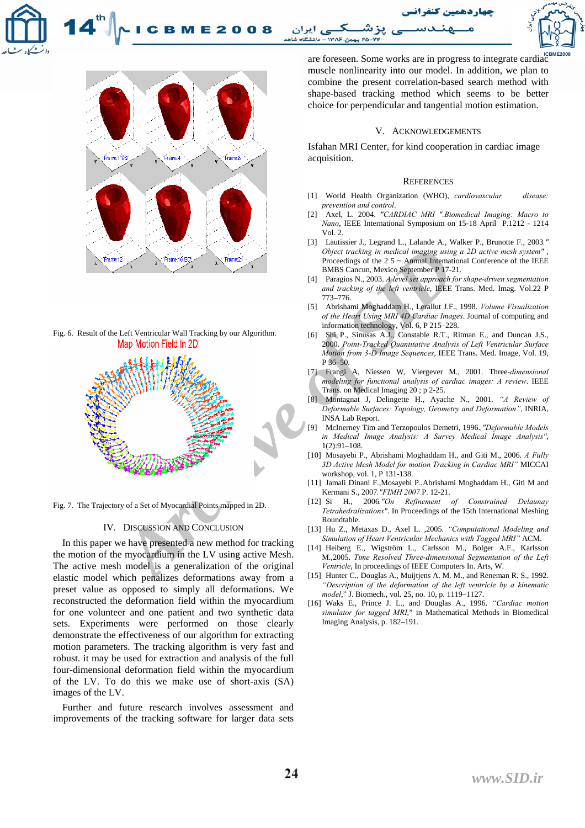



Fig. 6. Result of the Left Ventricular Wall Tracking by our Algorithm.



Fig. 7. The Trajectory of a Set of Myocardial Points mapped in 2D.

# IV. DISCUSSION AND CONCLUSION

In this paper we have presented a new method for tracking the motion of the myocardium in the LV using active Mesh. The active mesh model is a generalization of the original elastic model which penalizes deformations away from a preset value as opposed to simply all deformations. We reconstructed the deformation field within the myocardium for one volunteer and one patient and two synthetic data sets. Experiments were performed on those clearly demonstrate the effectiveness of our algorithm for extracting motion parameters. The tracking algorithm is very fast and robust. it may be used for extraction and analysis of the full four-dimensional deformation field within the myocardium of the LV. To do this we make use of short-axis (SA) images of the LV.

Further and future research involves assessment and improvements of the tracking software for larger data sets

are foreseen. Some works are in progress to integrate cardiac muscle nonlinearity into our model. In addition, we plan to combine the present correlation-based search method with shape-based tracking method which seems to be better choice for perpendicular and tangential motion estimation.

#### V. ACKNOWLEDGEMENTS

Isfahan MRI Center, for kind cooperation in cardiac image acquisition.

#### **REFERENCES**

- [1] World Health Organization (WHO), *cardiovascular disease: prevention and control*.
- [2] Axel, L. 2004. *"CARDIAC MRI ".Biomedical Imaging: Macro to Nano*, IEEE International Symposium on 15-18 April P.1212 - 1214 Vol. 2.
- [3] Lautissier J., Legrand L., Lalande A., Walker P., Brunotte F., 2003*." Object tracking in medical imaging using a 2D active mesh system"* , Proceedings of the  $2.5 \sim$  Annual International Conference of the IEEE BMBS Cancun, Mexico September P 17-21.
- [4] Paragios N., 2003. *A level set approach for shape-driven segmentation and tracking of the left ventricle*, IEEE Trans. Med. Imag. Vol.22 P 773–776.
- [5] Abrishami Moghaddam H., Lerallut J.F., 1998. *Volume Visualization of the Heart Using MRI 4D Cardiac Images*. Journal of computing and information technology, Vol. 6, P 215–228.
- [6] Shi P., Sinusas A.J., Constable R.T., Ritman E., and Duncan J.S., 2000. *Point-Tracked Quantitative Analysis of Left Ventricular Surface Motion from 3-D Image Sequences*, IEEE Trans. Med. Image, Vol. 19, P 36–50.
- [7] Frangi A, Niessen W, Viergever M., 2001. Three*-dimensional modeling for functional analysis of cardiac images: A review*. IEEE Trans. on Medical Imaging 20 ; p 2-25.
- [8] Montagnat J, Delingette H., Ayache N., 2001. *"A Review of Deformable Surfaces: Topology, Geometry and Deformation"*, INRIA, INSA Lab Report.
- [9] McInerney Tim and Terzopoulos Demetri, 1996.*,"Deformable Models in Medical Image Analysis: A Survey Medical Image Analysis"*,  $1(2):91-108$ .
- [10] Mosayebi P., Abrishami Moghaddam H., and Giti M., 2006. *A Fully 3D Active Mesh Model for motion Tracking in Cardiac MRI"* MICCAI workshop, vol. 1, P 131-138.
- [11] Jamali Dinani F.,Mosayebi P.,Abrishami Moghaddam H., Giti M and Kermani S., 2007*."FIMH 2007* P. 12-21.
- [12] Si H., 2006*."On Refinement of Constrained Delaunay Tetrahedralizations"*. In Proceedings of the 15th International Meshing Roundtable.
- [13] Hu Z., Metaxas D., Axel L. ,2005. *"Computational Modeling and Simulation of Heart Ventricular Mechanics with Tagged MRI"* ACM.
- [14] Heiberg E., Wigström L., Carlsson M., Bolger A.F., Karlsson M.,2005. *Time Resolved Three-dimensional Segmentation of the Left Ventricle*, In proceedings of IEEE Computers In. Arts, W.
- [15] Hunter C., Douglas A., Muijtjens A. M. M., and Reneman R. S., 1992. *"Description of the deformation of the left ventricle by a kinematic model*," J. Biomech., vol. 25, no. 10, p. 1119–1127.
- [16] Waks E., Prince J. L., and Douglas A., 1996. *"Cardiac motion simulator for tagged MRI*," in Mathematical Methods in Biomedical Imaging Analysis, p. 182–191.